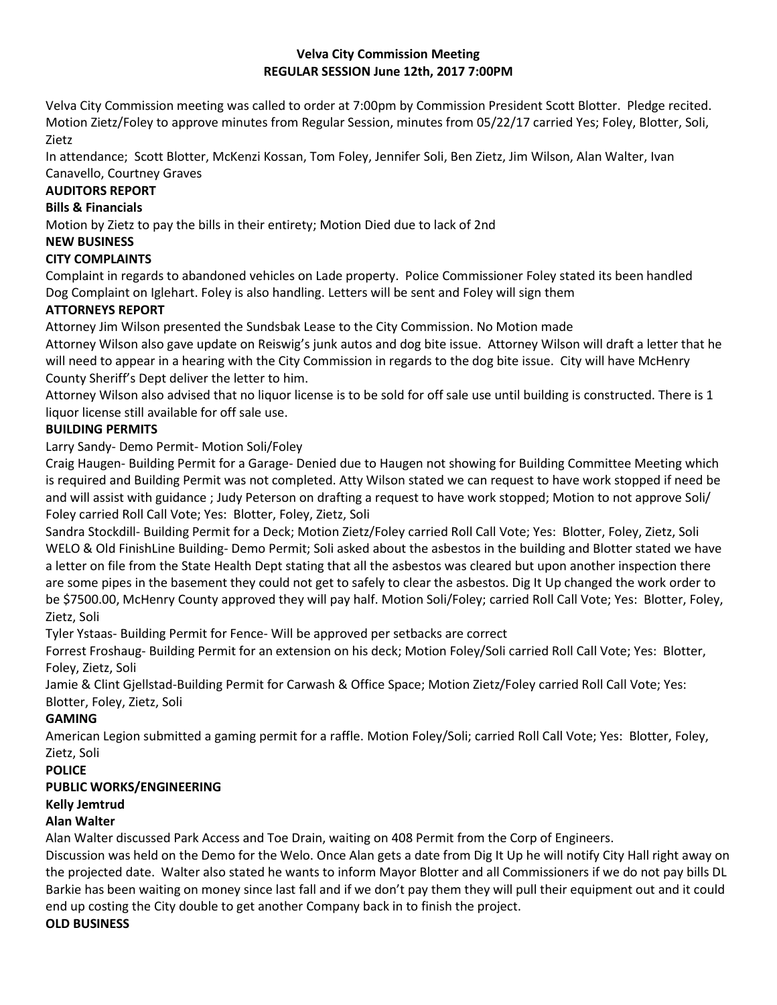#### **Velva City Commission Meeting REGULAR SESSION June 12th, 2017 7:00PM**

Velva City Commission meeting was called to order at 7:00pm by Commission President Scott Blotter. Pledge recited. Motion Zietz/Foley to approve minutes from Regular Session, minutes from 05/22/17 carried Yes; Foley, Blotter, Soli, Zietz

In attendance; Scott Blotter, McKenzi Kossan, Tom Foley, Jennifer Soli, Ben Zietz, Jim Wilson, Alan Walter, Ivan Canavello, Courtney Graves

## **AUDITORS REPORT**

# **Bills & Financials**

Motion by Zietz to pay the bills in their entirety; Motion Died due to lack of 2nd

#### **NEW BUSINESS**

## **CITY COMPLAINTS**

Complaint in regards to abandoned vehicles on Lade property. Police Commissioner Foley stated its been handled Dog Complaint on Iglehart. Foley is also handling. Letters will be sent and Foley will sign them

## **ATTORNEYS REPORT**

Attorney Jim Wilson presented the Sundsbak Lease to the City Commission. No Motion made

Attorney Wilson also gave update on Reiswig's junk autos and dog bite issue. Attorney Wilson will draft a letter that he will need to appear in a hearing with the City Commission in regards to the dog bite issue. City will have McHenry County Sheriff's Dept deliver the letter to him.

Attorney Wilson also advised that no liquor license is to be sold for off sale use until building is constructed. There is 1 liquor license still available for off sale use.

## **BUILDING PERMITS**

Larry Sandy- Demo Permit- Motion Soli/Foley

Craig Haugen- Building Permit for a Garage- Denied due to Haugen not showing for Building Committee Meeting which is required and Building Permit was not completed. Atty Wilson stated we can request to have work stopped if need be and will assist with guidance ; Judy Peterson on drafting a request to have work stopped; Motion to not approve Soli/ Foley carried Roll Call Vote; Yes: Blotter, Foley, Zietz, Soli

Sandra Stockdill- Building Permit for a Deck; Motion Zietz/Foley carried Roll Call Vote; Yes: Blotter, Foley, Zietz, Soli WELO & Old FinishLine Building- Demo Permit; Soli asked about the asbestos in the building and Blotter stated we have a letter on file from the State Health Dept stating that all the asbestos was cleared but upon another inspection there are some pipes in the basement they could not get to safely to clear the asbestos. Dig It Up changed the work order to be \$7500.00, McHenry County approved they will pay half. Motion Soli/Foley; carried Roll Call Vote; Yes: Blotter, Foley, Zietz, Soli

Tyler Ystaas- Building Permit for Fence- Will be approved per setbacks are correct

Forrest Froshaug- Building Permit for an extension on his deck; Motion Foley/Soli carried Roll Call Vote; Yes: Blotter, Foley, Zietz, Soli

Jamie & Clint Gjellstad-Building Permit for Carwash & Office Space; Motion Zietz/Foley carried Roll Call Vote; Yes: Blotter, Foley, Zietz, Soli

## **GAMING**

American Legion submitted a gaming permit for a raffle. Motion Foley/Soli; carried Roll Call Vote; Yes: Blotter, Foley, Zietz, Soli

**POLICE**

## **PUBLIC WORKS/ENGINEERING**

## **Kelly Jemtrud**

## **Alan Walter**

Alan Walter discussed Park Access and Toe Drain, waiting on 408 Permit from the Corp of Engineers.

Discussion was held on the Demo for the Welo. Once Alan gets a date from Dig It Up he will notify City Hall right away on the projected date. Walter also stated he wants to inform Mayor Blotter and all Commissioners if we do not pay bills DL Barkie has been waiting on money since last fall and if we don't pay them they will pull their equipment out and it could end up costing the City double to get another Company back in to finish the project.

## **OLD BUSINESS**